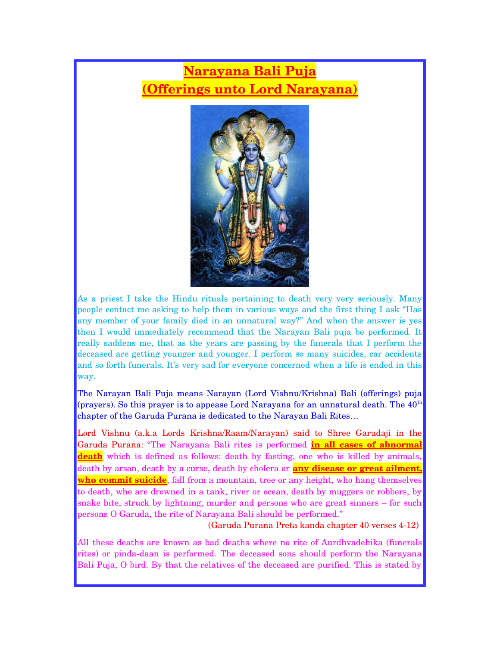## **Narayana Bali Puja (Offerings unto Lord Narayana)**



As a priest I take the Hindu rituals pertaining to death very very seriously. Many people contact me asking to help them in various ways and the first thing I ask "Has any member of your family died in an unnatural way?" And when the answer is yes then I would immediately recommend that the Narayan Bali puja be performed. It really saddens me, that as the years are passing by the funerals that I perform the deceased are getting younger and younger. I perform so many suicides, car accidents and so forth funerals. It's very sad for everyone concerned when a life is ended in this way.

The Narayan Bali Puja means Narayan (Lord Vishnu/Krishna) Bali (offerings) puja (prayers). So this prayer is to appease Lord Narayana for an unnatural death. The  $40<sup>th</sup>$ chapter of the Garuda Purana is dedicated to the Narayan Bali Rites…

Lord Vishnu (a.k.a Lords Krishna/Raam/Narayan) said to Shree Garudaji in the Garuda Purana: "The Narayana Bali rites is performed **in all cases of abnormal death** which is defined as follows: death by fasting, one who is killed by animals, death by arson, death by a curse, death by cholera or **any disease or great ailment, who commit suicide**, fall from a mountain, tree or any height, who hang themselves to death, who are drowned in a tank, river or ocean, death by muggers or robbers, by snake bite, struck by lightning, murder and persons who are great sinners – for such persons O Garuda, the rite of Narayana Bali should be performed."

(Garuda Purana Preta kanda chapter 40 verses 412)

All these deaths are known as bad deaths where no rite of Aurdhvadehika (funerals rites) or pinda-daan is performed. The deceased sons should perform the Narayana Bali Puja, O bird. By that the relatives of the deceased are purified. This is stated by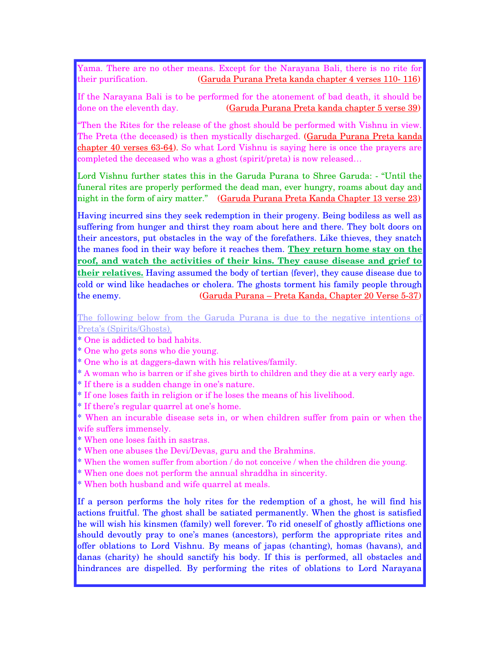Yama. There are no other means. Except for the Narayana Bali, there is no rite for their purification. (Garuda Purana Preta kanda chapter 4 verses 110 116)

If the Narayana Bali is to be performed for the atonement of bad death, it should be done on the eleventh day. (Garuda Purana Preta kanda chapter 5 verse 39)

"Then the Rites for the release of the ghost should be performed with Vishnu in view. The Preta (the deceased) is then mystically discharged. (Garuda Purana Preta kanda chapter 40 verses 63-64). So what Lord Vishnu is saying here is once the prayers are completed the deceased who was a ghost (spirit/preta) is now released…

Lord Vishnu further states this in the Garuda Purana to Shree Garuda: "Until the funeral rites are properly performed the dead man, ever hungry, roams about day and night in the form of airy matter." (Garuda Purana Preta Kanda Chapter 13 verse 23)

Having incurred sins they seek redemption in their progeny. Being bodiless as well as suffering from hunger and thirst they roam about here and there. They bolt doors on their ancestors, put obstacles in the way of the forefathers. Like thieves, they snatch the manes food in their way before it reaches them. **They return home stay on the roof, and watch the activities of their kins. They cause disease and grief to their relatives.** Having assumed the body of tertian {fever}, they cause disease due to cold or wind like headaches or cholera. The ghosts torment his family people through the enemy. (Garuda Purana – Preta Kanda, Chapter 20 Verse 537)

The following below from the Garuda Purana is due to the negative intentions of Preta's (Spirits/Ghosts).

- \* One is addicted to bad habits.
- \* One who gets sons who die young.
- \* One who is at daggers-dawn with his relatives/family.
- \* A woman who is barren or if she gives birth to children and they die at a very early age.
- \* If there is a sudden change in one's nature.
- \* If one loses faith in religion or if he loses the means of his livelihood.
- \* If there's regular quarrel at one's home.
- \* When an incurable disease sets in, or when children suffer from pain or when the wife suffers immensely.
- \* When one loses faith in sastras.
- \* When one abuses the Devi/Devas, guru and the Brahmins.
- \* When the women suffer from abortion / do not conceive / when the children die young.
- \* When one does not perform the annual shraddha in sincerity.
- \* When both husband and wife quarrel at meals.

If a person performs the holy rites for the redemption of a ghost, he will find his actions fruitful. The ghost shall be satiated permanently. When the ghost is satisfied he will wish his kinsmen (family) well forever. To rid oneself of ghostly afflictions one should devoutly pray to one's manes (ancestors), perform the appropriate rites and offer oblations to Lord Vishnu. By means of japas (chanting), homas (havans), and danas (charity) he should sanctify his body. If this is performed, all obstacles and hindrances are dispelled. By performing the rites of oblations to Lord Narayana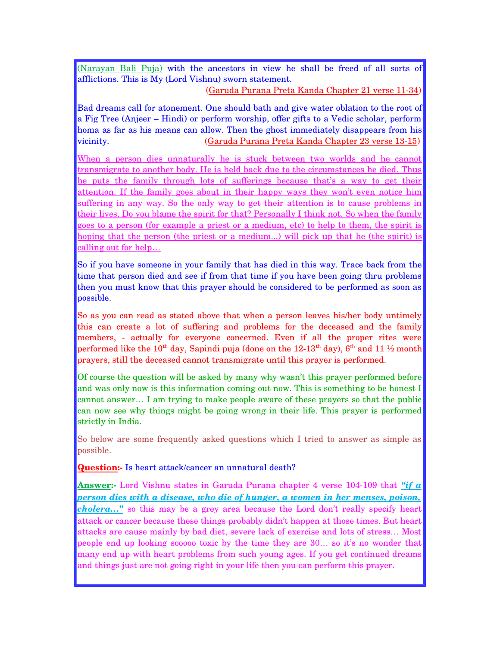(Narayan Bali Puja) with the ancestors in view he shall be freed of all sorts of afflictions. This is My (Lord Vishnu) sworn statement.

(Garuda Purana Preta Kanda Chapter 21 verse 1134)

Bad dreams call for atonement. One should bath and give water oblation to the root of a Fig Tree (Anjeer – Hindi) or perform worship, offer gifts to a Vedic scholar, perform homa as far as his means can allow. Then the ghost immediately disappears from his vicinity. (Garuda Purana Preta Kanda Chapter 23 verse 1315)

When a person dies unnaturally he is stuck between two worlds and he cannot transmigrate to another body. He is held back due to the circumstances he died. Thus he puts the family through lots of sufferings because that's a way to get their attention. If the family goes about in their happy ways they won't even notice him suffering in any way. So the only way to get their attention is to cause problems in their lives. Do you blame the spirit for that? Personally I think not. So when the family goes to a person (for example a priest or a medium, etc) to help to them, the spirit is hoping that the person (the priest or a medium...) will pick up that he (the spirit) is calling out for help…

So if you have someone in your family that has died in this way. Trace back from the time that person died and see if from that time if you have been going thru problems then you must know that this prayer should be considered to be performed as soon as possible.

So as you can read as stated above that when a person leaves his/her body untimely this can create a lot of suffering and problems for the deceased and the family members, - actually for everyone concerned. Even if all the proper rites were performed like the 10<sup>th</sup> day, Sapindi puja (done on the 12-13<sup>th</sup> day),  $6<sup>th</sup>$  and 11  $\frac{1}{2}$  month prayers, still the deceased cannot transmigrate until this prayer is performed.

Of course the question will be asked by many why wasn't this prayer performed before and was only now is this information coming out now. This is something to be honest I cannot answer… I am trying to make people aware of these prayers so that the public can now see why things might be going wrong in their life. This prayer is performed strictly in India.

So below are some frequently asked questions which I tried to answer as simple as possible.

**Question:** Is heart attack/cancer an unnatural death?

**Answer:** Lord Vishnu states in Garuda Purana chapter 4 verse 104-109 that "*if a person dies with a disease, who die of hunger, a women in her menses, poison, cholera*..." so this may be a grey area because the Lord don't really specify heart attack or cancer because these things probably didn't happen at those times. But heart attacks are cause mainly by bad diet, severe lack of exercise and lots of stress… Most people end up looking sooooo toxic by the time they are 30… so it's no wonder that many end up with heart problems from such young ages. If you get continued dreams and things just are not going right in your life then you can perform this prayer.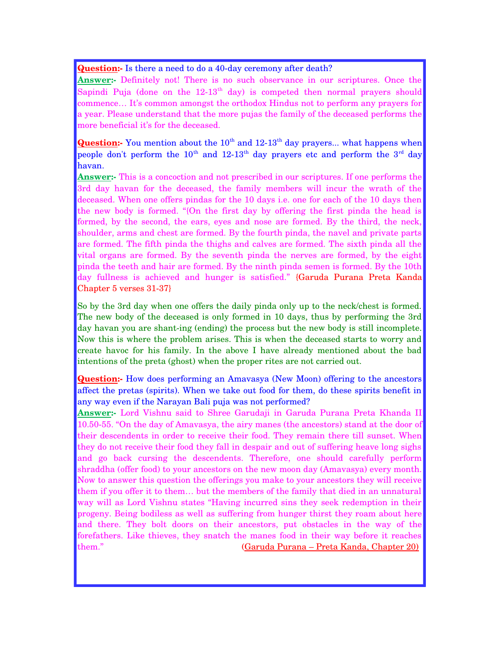**Question:** Is there a need to do a 40-day ceremony after death?

**Answer:** Definitely not! There is no such observance in our scriptures. Once the Sapindi Puja (done on the  $12-13<sup>th</sup>$  day) is competed then normal prayers should commence… It's common amongst the orthodox Hindus not to perform any prayers for a year. Please understand that the more pujas the family of the deceased performs the more beneficial it's for the deceased.

**Question:** You mention about the 10<sup>th</sup> and 12-13<sup>th</sup> day prayers... what happens when people don't perform the  $10<sup>th</sup>$  and  $12-13<sup>th</sup>$  day prayers etc and perform the  $3<sup>rd</sup>$  day havan.

**Answer:** This is a concoction and not prescribed in our scriptures. If one performs the 3rd day havan for the deceased, the family members will incur the wrath of the deceased. When one offers pindas for the 10 days i.e. one for each of the 10 days then the new body is formed. "{On the first day by offering the first pinda the head is formed, by the second, the ears, eyes and nose are formed. By the third, the neck, shoulder, arms and chest are formed. By the fourth pinda, the navel and private parts are formed. The fifth pinda the thighs and calves are formed. The sixth pinda all the vital organs are formed. By the seventh pinda the nerves are formed, by the eight pinda the teeth and hair are formed. By the ninth pinda semen is formed. By the 10th day fullness is achieved and hunger is satisfied." {Garuda Purana Preta Kanda Chapter 5 verses 31-37}

So by the 3rd day when one offers the daily pinda only up to the neck/chest is formed. The new body of the deceased is only formed in 10 days, thus by performing the 3rd day havan you are shant-ing (ending) the process but the new body is still incomplete. Now this is where the problem arises. This is when the deceased starts to worry and create havoc for his family. In the above I have already mentioned about the bad intentions of the preta (ghost) when the proper rites are not carried out.

**Question:** How does performing an Amavasya (New Moon) offering to the ancestors affect the pretas (spirits). When we take out food for them, do these spirits benefit in any way even if the Narayan Bali puja was not performed?

Answer: Lord Vishnu said to Shree Garudaji in Garuda Purana Preta Khanda II 10.5055. "On the day of Amavasya, the airy manes (the ancestors) stand at the door of their descendents in order to receive their food. They remain there till sunset. When they do not receive their food they fall in despair and out of suffering heave long sighs and go back cursing the descendents. Therefore, one should carefully perform shraddha (offer food) to your ancestors on the new moon day (Amavasya) every month. Now to answer this question the offerings you make to your ancestors they will receive them if you offer it to them… but the members of the family that died in an unnatural way will as Lord Vishnu states "Having incurred sins they seek redemption in their progeny. Being bodiless as well as suffering from hunger thirst they roam about here and there. They bolt doors on their ancestors, put obstacles in the way of the forefathers. Like thieves, they snatch the manes food in their way before it reaches them." (Garuda Purana – Preta Kanda, Chapter 20)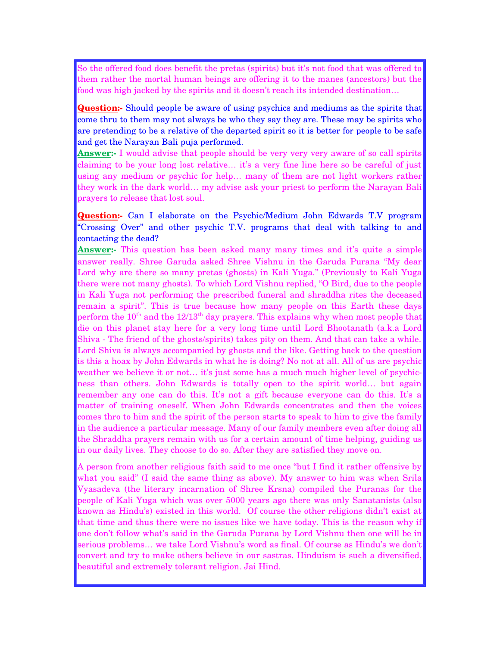So the offered food does benefit the pretas (spirits) but it's not food that was offered to them rather the mortal human beings are offering it to the manes (ancestors) but the food was high jacked by the spirits and it doesn't reach its intended destination…

**Question:** Should people be aware of using psychics and mediums as the spirits that come thru to them may not always be who they say they are. These may be spirits who are pretending to be a relative of the departed spirit so it is better for people to be safe and get the Narayan Bali puja performed.

**Answer:** I would advise that people should be very very very aware of so call spirits claiming to be your long lost relative… it's a very fine line here so be careful of just using any medium or psychic for help… many of them are not light workers rather they work in the dark world… my advise ask your priest to perform the Narayan Bali prayers to release that lost soul.

**Question:-** Can I elaborate on the Psychic/Medium John Edwards T.V program "Crossing Over" and other psychic T.V. programs that deal with talking to and contacting the dead?

**Answer:** This question has been asked many many times and it's quite a simple answer really. Shree Garuda asked Shree Vishnu in the Garuda Purana "My dear Lord why are there so many pretas (ghosts) in Kali Yuga." (Previously to Kali Yuga there were not many ghosts). To which Lord Vishnu replied, "O Bird, due to the people in Kali Yuga not performing the prescribed funeral and shraddha rites the deceased remain a spirit". This is true because how many people on this Earth these days perform the  $10<sup>th</sup>$  and the  $12/13<sup>th</sup>$  day prayers. This explains why when most people that die on this planet stay here for a very long time until Lord Bhootanath (a.k.a Lord Shiva - The friend of the ghosts/spirits) takes pity on them. And that can take a while. Lord Shiva is always accompanied by ghosts and the like. Getting back to the question is this a hoax by John Edwards in what he is doing? No not at all. All of us are psychic weather we believe it or not... it's just some has a much much higher level of psychicness than others. John Edwards is totally open to the spirit world... but again remember any one can do this. It's not a gift because everyone can do this. It's a matter of training oneself. When John Edwards concentrates and then the voices comes thro to him and the spirit of the person starts to speak to him to give the family in the audience a particular message. Many of our family members even after doing all the Shraddha prayers remain with us for a certain amount of time helping, guiding us in our daily lives. They choose to do so. After they are satisfied they move on.

A person from another religious faith said to me once "but I find it rather offensive by what you said" (I said the same thing as above). My answer to him was when Srila Vyasadeva (the literary incarnation of Shree Krsna) compiled the Puranas for the people of Kali Yuga which was over 5000 years ago there was only Sanatanists (also known as Hindu's) existed in this world. Of course the other religions didn't exist at that time and thus there were no issues like we have today. This is the reason why if one don't follow what's said in the Garuda Purana by Lord Vishnu then one will be in serious problems… we take Lord Vishnu's word as final. Of course as Hindu's we don't convert and try to make others believe in our sastras. Hinduism is such a diversified, beautiful and extremely tolerant religion. Jai Hind.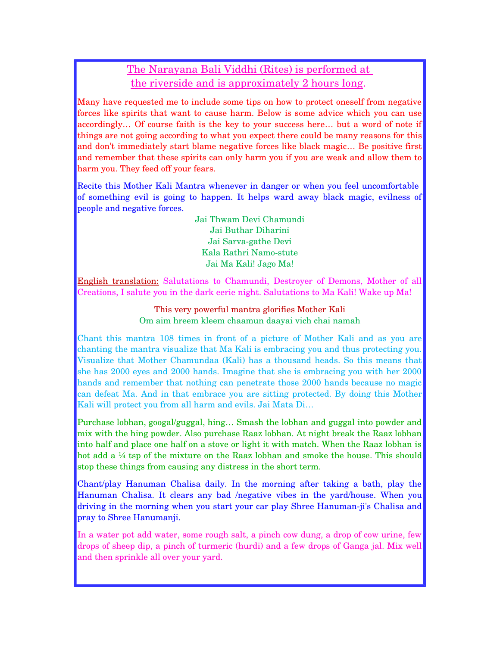## The Narayana Bali Viddhi (Rites) is performed at the riverside and is approximately 2 hours long.

Many have requested me to include some tips on how to protect oneself from negative forces like spirits that want to cause harm. Below is some advice which you can use accordingly… Of course faith is the key to your success here… but a word of note if things are not going according to what you expect there could be many reasons for this and don't immediately start blame negative forces like black magic… Be positive first and remember that these spirits can only harm you if you are weak and allow them to harm you. They feed off your fears.

Recite this Mother Kali Mantra whenever in danger or when you feel uncomfortable of something evil is going to happen. It helps ward away black magic, evilness of people and negative forces.

> Jai Thwam Devi Chamundi Jai Buthar Diharini Jai Sarva-gathe Devi Kala Rathri Namo-stute Jai Ma Kali! Jago Ma!

English translation: Salutations to Chamundi, Destroyer of Demons, Mother of all Creations, I salute you in the dark eerie night. Salutations to Ma Kali! Wake up Ma!

> This very powerful mantra glorifies Mother Kali Om aim hreem kleem chaamun daayai vich chai namah

Chant this mantra 108 times in front of a picture of Mother Kali and as you are chanting the mantra visualize that Ma Kali is embracing you and thus protecting you. Visualize that Mother Chamundaa (Kali) has a thousand heads. So this means that she has 2000 eyes and 2000 hands. Imagine that she is embracing you with her 2000 hands and remember that nothing can penetrate those 2000 hands because no magic can defeat Ma. And in that embrace you are sitting protected. By doing this Mother Kali will protect you from all harm and evils. Jai Mata Di…

Purchase lobhan, googal/guggal, hing… Smash the lobhan and guggal into powder and mix with the hing powder. Also purchase Raaz lobhan. At night break the Raaz lobhan into half and place one half on a stove or light it with match. When the Raaz lobhan is hot add a ¼ tsp of the mixture on the Raaz lobhan and smoke the house. This should stop these things from causing any distress in the short term.

Chant/play Hanuman Chalisa daily. In the morning after taking a bath, play the Hanuman Chalisa. It clears any bad /negative vibes in the yard/house. When you driving in the morning when you start your car play Shree Hanuman-ji's Chalisa and pray to Shree Hanumanji.

In a water pot add water, some rough salt, a pinch cow dung, a drop of cow urine, few drops of sheep dip, a pinch of turmeric (hurdi) and a few drops of Ganga jal. Mix well and then sprinkle all over your yard.